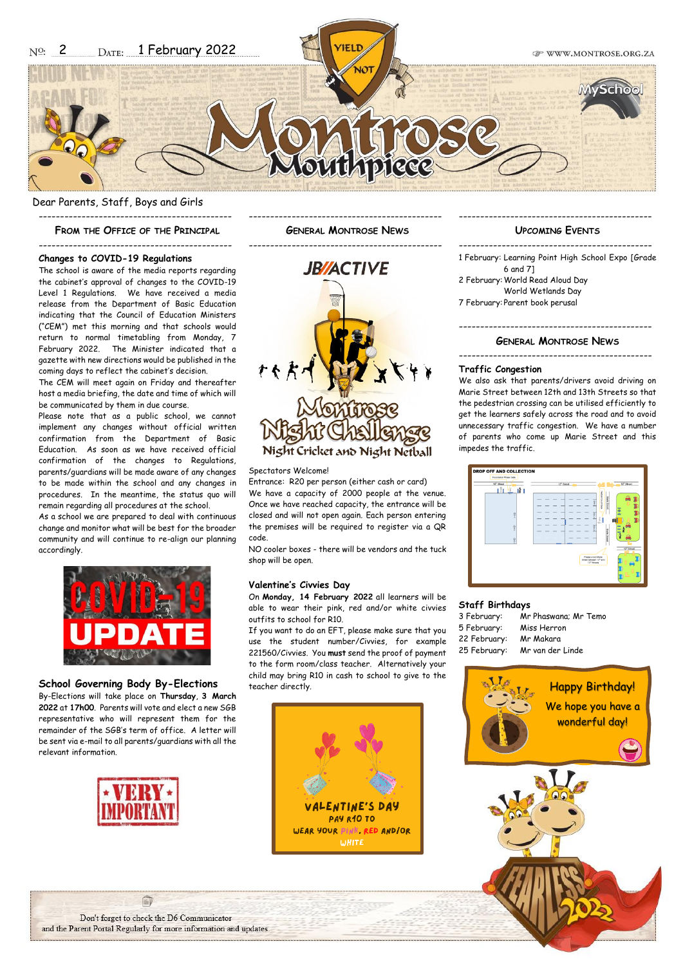Dear Parents, Staff, Boys and Girls ---------------------------------------------

**FROM THE OFFICE OF THE PRINCIPAL**

--------------------------------------------- **GENERAL MONTROSE NEWS** ---------------------------------------------

## --------------------------------------------- **Changes to COVID-19 Regulations**

The school is aware of the media reports regarding the cabinet's approval of changes to the COVID-19 Level 1 Regulations. We have received a media release from the Department of Basic Education indicating that the Council of Education Ministers ("CEM") met this morning and that schools would return to normal timetabling from Monday, 7 February 2022. The Minister indicated that a gazette with new directions would be published in the coming days to reflect the cabinet's decision.

The CEM will meet again on Friday and thereafter host a media briefing, the date and time of which will be communicated by them in due course.

Please note that as a public school, we cannot implement any changes without official written confirmation from the Department of Basic Education. As soon as we have received official confirmation of the changes to Regulations, parents/guardians will be made aware of any changes to be made within the school and any changes in procedures. In the meantime, the status quo will remain regarding all procedures at the school.

As a school we are prepared to deal with continuous change and monitor what will be best for the broader community and will continue to re-align our planning accordingly.



## **School Governing Body By-Elections**

By-Elections will take place on **Thursday**, **3 March 2022** at **17h00**. Parents will vote and elect a new SGB representative who will represent them for the remainder of the SGB's term of office. A letter will be sent via e-mail to all parents/guardians with all the relevant information.





### Spectators Welcome!

Entrance: R20 per person (either cash or card) We have a capacity of 2000 people at the venue. Once we have reached capacity, the entrance will be closed and will not open again. Each person entering the premises will be required to register via a QR code.

NO cooler boxes - there will be vendors and the tuck shop will be open.

### **Valentine's Civvies Day**

On **Monday, 14 February 2022** all learners will be able to wear their pink, red and/or white civvies outfits to school for R10.

If you want to do an EFT, please make sure that you use the student number/Civvies, for example 221560/Civvies. You **must** send the proof of payment to the form room/class teacher. Alternatively your child may bring R10 in cash to school to give to the teacher directly.



## --------------------------------------------- **UPCOMING EVENTS**

--------------------------------------------- 1 February: Learning Point High School Expo [Grade 6 and 7] 2 February:World Read Aloud Day World Wetlands Day 7 February: Parent book perusal

## --------------------------------------------- **GENERAL MONTROSE NEWS**

---------------------------------------------

### **Traffic Congestion**

We also ask that parents/drivers avoid driving on Marie Street between 12th and 13th Streets so that the pedestrian crossing can be utilised efficiently to get the learners safely across the road and to avoid unnecessary traffic congestion. We have a number of parents who come up Marie Street and this impedes the traffic.



### **Staff Birthdays**

| Mr Phaswana; Mr Temo |
|----------------------|
| Miss Herron          |
| Mr Makara            |
| Mr van der Linde     |
|                      |



Don't forget to check the D6 Communicator and the Parent Portal Regularly for more information and updates.

自